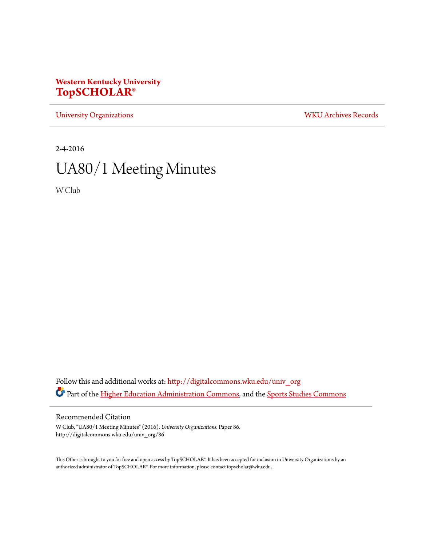## **Western Kentucky University [TopSCHOLAR®](http://digitalcommons.wku.edu?utm_source=digitalcommons.wku.edu%2Funiv_org%2F86&utm_medium=PDF&utm_campaign=PDFCoverPages)**

[University Organizations](http://digitalcommons.wku.edu/univ_org?utm_source=digitalcommons.wku.edu%2Funiv_org%2F86&utm_medium=PDF&utm_campaign=PDFCoverPages) [WKU Archives Records](http://digitalcommons.wku.edu/dlsc_ua_records?utm_source=digitalcommons.wku.edu%2Funiv_org%2F86&utm_medium=PDF&utm_campaign=PDFCoverPages)

2-4-2016

# UA80/1 Meeting Minutes

W Club

Follow this and additional works at: [http://digitalcommons.wku.edu/univ\\_org](http://digitalcommons.wku.edu/univ_org?utm_source=digitalcommons.wku.edu%2Funiv_org%2F86&utm_medium=PDF&utm_campaign=PDFCoverPages) Part of the [Higher Education Administration Commons](http://network.bepress.com/hgg/discipline/791?utm_source=digitalcommons.wku.edu%2Funiv_org%2F86&utm_medium=PDF&utm_campaign=PDFCoverPages), and the [Sports Studies Commons](http://network.bepress.com/hgg/discipline/1198?utm_source=digitalcommons.wku.edu%2Funiv_org%2F86&utm_medium=PDF&utm_campaign=PDFCoverPages)

#### Recommended Citation

W Club, "UA80/1 Meeting Minutes" (2016). *University Organizations.* Paper 86. http://digitalcommons.wku.edu/univ\_org/86

This Other is brought to you for free and open access by TopSCHOLAR®. It has been accepted for inclusion in University Organizations by an authorized administrator of TopSCHOLAR®. For more information, please contact topscholar@wku.edu.